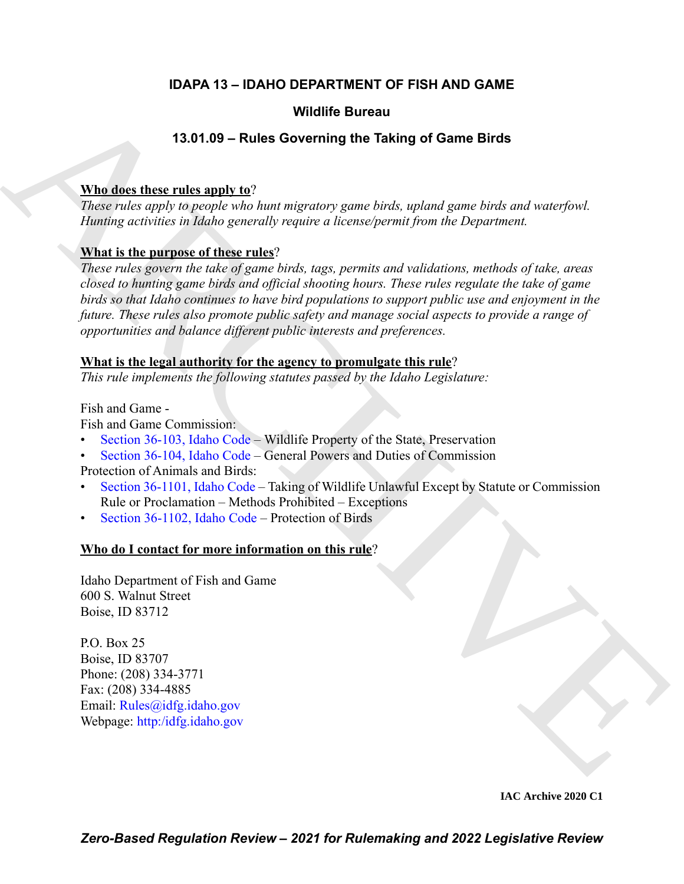# **IDAPA 13 – IDAHO DEPARTMENT OF FISH AND GAME**

# **Wildlife Bureau**

# **13.01.09 – Rules Governing the Taking of Game Birds**

# **Who does these rules apply to**?

*These rules apply to people who hunt migratory game birds, upland game birds and waterfowl. Hunting activities in Idaho generally require a license/permit from the Department.*

# **What is the purpose of these rules**?

**VALUE of Europe [C](https://legislature.idaho.gov/statutesrules/idstat/Title36/T36CH1/SECT36-103/)ontainers** (13.01.09 – Rules Governing the Taking of Game Birds<br>
These value and the sumplementary and negative and a sumplementary and a sumplementary and the sumplementary and the sumplementary and the *These rules govern the take of game birds, tags, permits and validations, methods of take, areas closed to hunting game birds and official shooting hours. These rules regulate the take of game birds so that Idaho continues to have bird populations to support public use and enjoyment in the future. These rules also promote public safety and manage social aspects to provide a range of opportunities and balance different public interests and preferences.*

# **What is the legal authority for the agency to promulgate this rule**?

*This rule implements the following statutes passed by the Idaho Legislature:*

Fish and Game -

Fish and Game Commission:

- Section 36-103, Idaho Code Wildlife Property of the State, Preservation
- Section 36-104, Idaho Code General Powers and Duties of Commission

Protection of Animals and Birds:

- Section 36-1101, Idaho Code Taking of Wildlife Unlawful Except by Statute or Commission Rule or Proclamation – Methods Prohibited – Exceptions
- Section 36-1102, Idaho Code Protection of Birds

# **Who do I contact for more information on this rule**?

Idaho Department of Fish and Game 600 S. Walnut Street Boise, ID 83712

P.O. Box 25 Boise, ID 83707 Phone: (208) 334-3771 Fax: (208) 334-4885 Email: Rules@idfg.idaho.gov Webpage: http:/idfg.idaho.gov

**IAC Archive 2020 C1**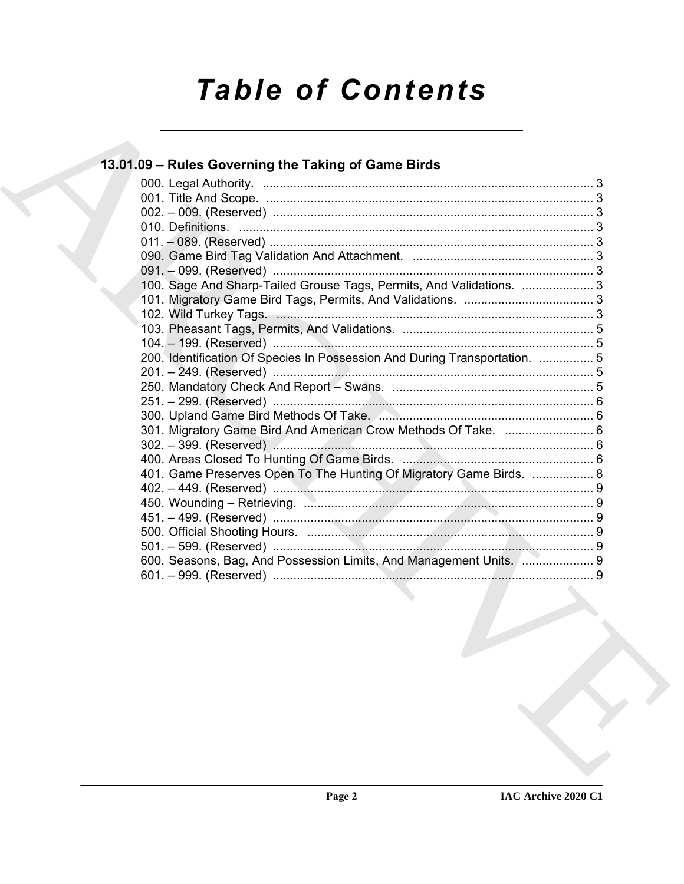# **Table of Contents**

# 13.01.09 - Rules Governing the Taking of Game Birds

| 100. Sage And Sharp-Tailed Grouse Tags, Permits, And Validations.  3<br>200. Identification Of Species In Possession And During Transportation.  5<br>301. Migratory Game Bird And American Crow Methods Of Take.  6<br>401. Game Preserves Open To The Hunting Of Migratory Game Birds.  8<br>600. Seasons, Bag, And Possession Limits, And Management Units. ( 9 |  |
|--------------------------------------------------------------------------------------------------------------------------------------------------------------------------------------------------------------------------------------------------------------------------------------------------------------------------------------------------------------------|--|
|                                                                                                                                                                                                                                                                                                                                                                    |  |
|                                                                                                                                                                                                                                                                                                                                                                    |  |
|                                                                                                                                                                                                                                                                                                                                                                    |  |
|                                                                                                                                                                                                                                                                                                                                                                    |  |
|                                                                                                                                                                                                                                                                                                                                                                    |  |
|                                                                                                                                                                                                                                                                                                                                                                    |  |
|                                                                                                                                                                                                                                                                                                                                                                    |  |
|                                                                                                                                                                                                                                                                                                                                                                    |  |
|                                                                                                                                                                                                                                                                                                                                                                    |  |
|                                                                                                                                                                                                                                                                                                                                                                    |  |
|                                                                                                                                                                                                                                                                                                                                                                    |  |
|                                                                                                                                                                                                                                                                                                                                                                    |  |
|                                                                                                                                                                                                                                                                                                                                                                    |  |
|                                                                                                                                                                                                                                                                                                                                                                    |  |
|                                                                                                                                                                                                                                                                                                                                                                    |  |
|                                                                                                                                                                                                                                                                                                                                                                    |  |
|                                                                                                                                                                                                                                                                                                                                                                    |  |
|                                                                                                                                                                                                                                                                                                                                                                    |  |
|                                                                                                                                                                                                                                                                                                                                                                    |  |
|                                                                                                                                                                                                                                                                                                                                                                    |  |
|                                                                                                                                                                                                                                                                                                                                                                    |  |
|                                                                                                                                                                                                                                                                                                                                                                    |  |
|                                                                                                                                                                                                                                                                                                                                                                    |  |
|                                                                                                                                                                                                                                                                                                                                                                    |  |
|                                                                                                                                                                                                                                                                                                                                                                    |  |
|                                                                                                                                                                                                                                                                                                                                                                    |  |
|                                                                                                                                                                                                                                                                                                                                                                    |  |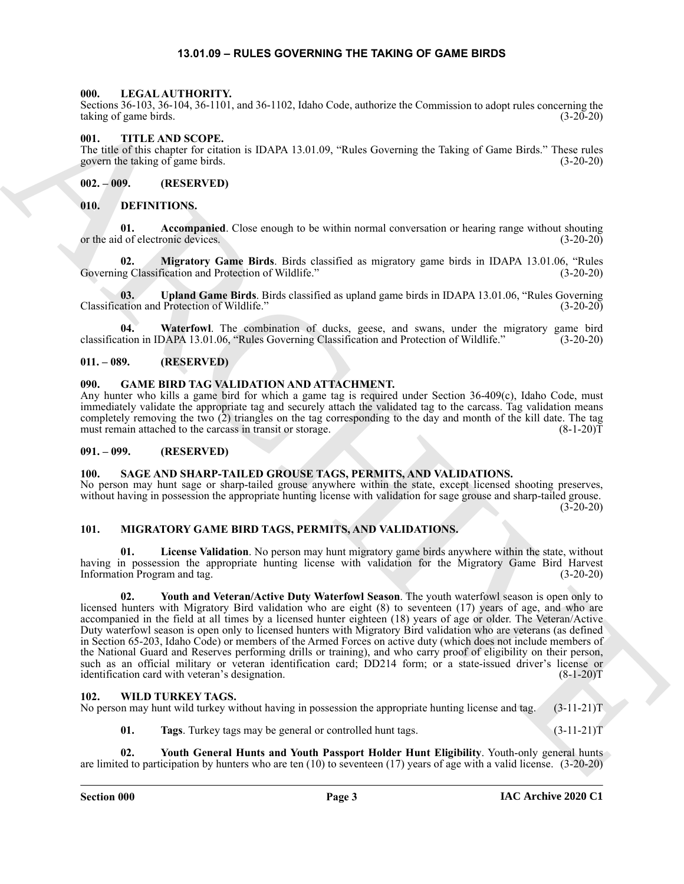#### **13.01.09 – RULES GOVERNING THE TAKING OF GAME BIRDS**

#### <span id="page-2-17"></span><span id="page-2-1"></span><span id="page-2-0"></span>**000. LEGAL AUTHORITY.**

Sections 36-103, 36-104, 36-1101, and 36-1102, Idaho Code, authorize the Commission to adopt rules concerning the taking of game birds. (3-20-20)

#### <span id="page-2-22"></span><span id="page-2-2"></span>**001. TITLE AND SCOPE.**

The title of this chapter for citation is IDAPA 13.01.09, "Rules Governing the Taking of Game Birds." These rules govern the taking of game birds. (3-20-20)

<span id="page-2-3"></span>**002. – 009. (RESERVED)**

#### <span id="page-2-11"></span><span id="page-2-4"></span>**010. DEFINITIONS.**

<span id="page-2-12"></span>**01.** Accompanied. Close enough to be within normal conversation or hearing range without shouting d of electronic devices. (3-20-20) or the aid of electronic devices.

<span id="page-2-13"></span>**02. Migratory Game Birds**. Birds classified as migratory game birds in IDAPA 13.01.06, "Rules Governing Classification and Protection of Wildlife." (3-20-20)

<span id="page-2-14"></span>**03. Upland Game Birds**. Birds classified as upland game birds in IDAPA 13.01.06, "Rules Governing ation and Protection of Wildlife." (3-20-20) Classification and Protection of Wildlife."

<span id="page-2-15"></span>**04. Waterfowl**. The combination of ducks, geese, and swans, under the migratory game bird classification in IDAPA 13.01.06, "Rules Governing Classification and Protection of Wildlife." (3-20-20)

#### <span id="page-2-5"></span>**011. – 089. (RESERVED)**

#### <span id="page-2-16"></span><span id="page-2-6"></span>**090. GAME BIRD TAG VALIDATION AND ATTACHMENT.**

Any hunter who kills a game bird for which a game tag is required under Section 36-409(c), Idaho Code, must immediately validate the appropriate tag and securely attach the validated tag to the carcass. Tag validation means completely removing the two (2) triangles on the tag corresponding to the day and month of the kill date. The tag must remain attached to the carcass in transit or storage. (8-1-20)T

#### <span id="page-2-7"></span>**091. – 099. (RESERVED)**

#### <span id="page-2-21"></span><span id="page-2-8"></span>**100. SAGE AND SHARP-TAILED GROUSE TAGS, PERMITS, AND VALIDATIONS.**

No person may hunt sage or sharp-tailed grouse anywhere within the state, except licensed shooting preserves, without having in possession the appropriate hunting license with validation for sage grouse and sharp-tailed grouse.  $(3-20-20)$ 

#### <span id="page-2-18"></span><span id="page-2-9"></span>**101. MIGRATORY GAME BIRD TAGS, PERMITS, AND VALIDATIONS.**

<span id="page-2-20"></span><span id="page-2-19"></span>**01. License Validation**. No person may hunt migratory game birds anywhere within the state, without having in possession the appropriate hunting license with validation for the Migratory Game Bird Harvest Information Program and tag. (3-20-20)

Scalar 34 (16), 34-144, 35-1101, and 36-1102, kidoc Cock, mistaric the Commission tradegrade of the system big<br>
March 24 (16), 44-16), and 36-1102, kidoc Cock, mistaric the Columbia of the Fig. 16), and<br>
Henry This Califo **02. Youth and Veteran/Active Duty Waterfowl Season**. The youth waterfowl season is open only to licensed hunters with Migratory Bird validation who are eight (8) to seventeen (17) years of age, and who are accompanied in the field at all times by a licensed hunter eighteen (18) years of age or older. The Veteran/Active Duty waterfowl season is open only to licensed hunters with Migratory Bird validation who are veterans (as defined in Section 65-203, Idaho Code) or members of the Armed Forces on active duty (which does not include members of the National Guard and Reserves performing drills or training), and who carry proof of eligibility on their person, such as an official military or veteran identification card; DD214 form; or a state-issued driver's license or identification card with veteran's designation. (8-1-20)T

#### <span id="page-2-23"></span><span id="page-2-10"></span>**102. WILD TURKEY TAGS.** No person may hunt wild turkey without having in possession the appropriate hunting license and tag. (3-11-21)T

<span id="page-2-25"></span><span id="page-2-24"></span>**01. Tags**. Turkey tags may be general or controlled hunt tags. (3-11-21)T

**02. Youth General Hunts and Youth Passport Holder Hunt Eligibility**. Youth-only general hunts are limited to participation by hunters who are ten (10) to seventeen (17) years of age with a valid license. (3-20-20)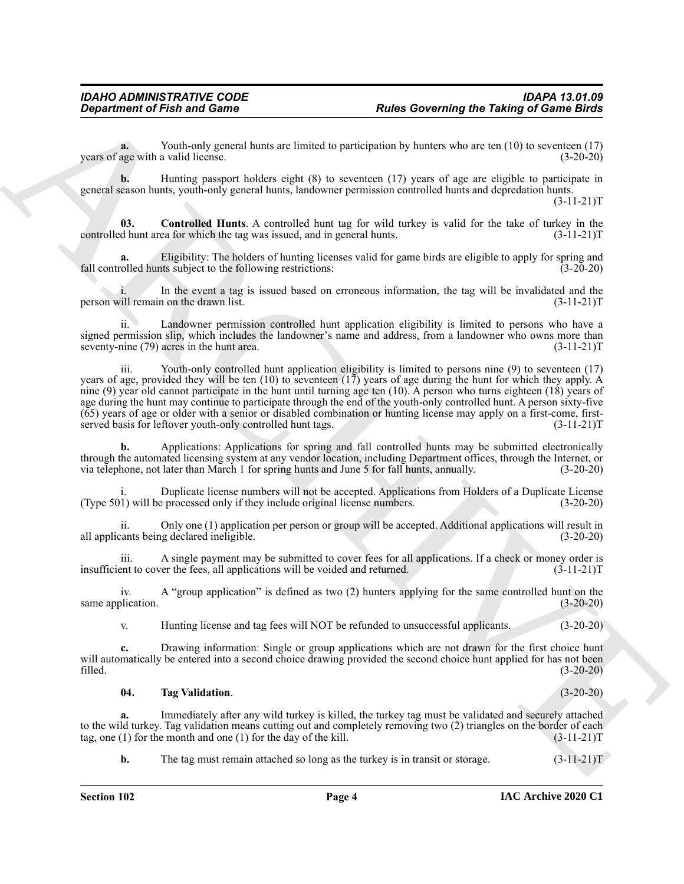**a.** Youth-only general hunts are limited to participation by hunters who are ten (10) to seventeen (17) years of age with a valid license. (3-20-20)

**b.** Hunting passport holders eight (8) to seventeen (17) years of age are eligible to participate in general season hunts, youth-only general hunts, landowner permission controlled hunts and depredation hunts.

 $(3-11-21)T$ 

<span id="page-3-0"></span>**03. Controlled Hunts**. A controlled hunt tag for wild turkey is valid for the take of turkey in the controlled hunt area for which the tag was issued, and in general hunts. (3-11-21)T

Eligibility: The holders of hunting licenses valid for game birds are eligible to apply for spring and the subject to the following restrictions: (3-20-20) fall controlled hunts subject to the following restrictions:

In the event a tag is issued based on erroneous information, the tag will be invalidated and the n on the drawn list.  $(3-11-21)T$ person will remain on the drawn list.

ii. Landowner permission controlled hunt application eligibility is limited to persons who have a signed permission slip, which includes the landowner's name and address, from a landowner who owns more than seventy-nine (79) acres in the hunt area. (3-11-21) seventy-nine  $(79)$  acres in the hunt area.

Given the first and General interaction and the set of the set of the set of the set of the set of the set of the set of the set of the set of the set of the set of the set of the set of the set of the set of the set of t iii. Youth-only controlled hunt application eligibility is limited to persons nine (9) to seventeen (17) years of age, provided they will be ten (10) to seventeen (17) years of age during the hunt for which they apply. A nine (9) year old cannot participate in the hunt until turning age ten (10). A person who turns eighteen (18) years of age during the hunt may continue to participate through the end of the youth-only controlled hunt. A person sixty-five (65) years of age or older with a senior or disabled combination or hunting license may apply on a first-come, firstserved basis for leftover youth-only controlled hunt tags. (3-11-21)T

**b.** Applications: Applications for spring and fall controlled hunts may be submitted electronically through the automated licensing system at any vendor location, including Department offices, through the Internet, or via telephone, not later than March 1 for spring hunts and June 5 for fall hunts, annually. (3-20-20)

i. Duplicate license numbers will not be accepted. Applications from Holders of a Duplicate License (Type 501) will be processed only if they include original license numbers. (3-20-20)

ii. Only one (1) application per person or group will be accepted. Additional applications will result in all applicants being declared ineligible. (3-20-20)

iii. A single payment may be submitted to cover fees for all applications. If a check or money order is ent to cover the fees, all applications will be voided and returned.  $(3-11-21)T$ insufficient to cover the fees, all applications will be voided and returned.

iv. A "group application" is defined as two (2) hunters applying for the same controlled hunt on the same application. (3-20-20)

v. Hunting license and tag fees will NOT be refunded to unsuccessful applicants. (3-20-20)

**c.** Drawing information: Single or group applications which are not drawn for the first choice hunt will automatically be entered into a second choice drawing provided the second choice hunt applied for has not been filled. (3-20-20) filled. (3-20-20)

#### <span id="page-3-1"></span>**04. Tag Validation**. (3-20-20)

**a.** Immediately after any wild turkey is killed, the turkey tag must be validated and securely attached to the wild turkey. Tag validation means cutting out and completely removing two (2) triangles on the border of each tag, one (1) for the month and one (1) for the day of the kill. (3-11-21) tag, one  $(1)$  for the month and one  $(1)$  for the day of the kill.

**b.** The tag must remain attached so long as the turkey is in transit or storage. (3-11-21)T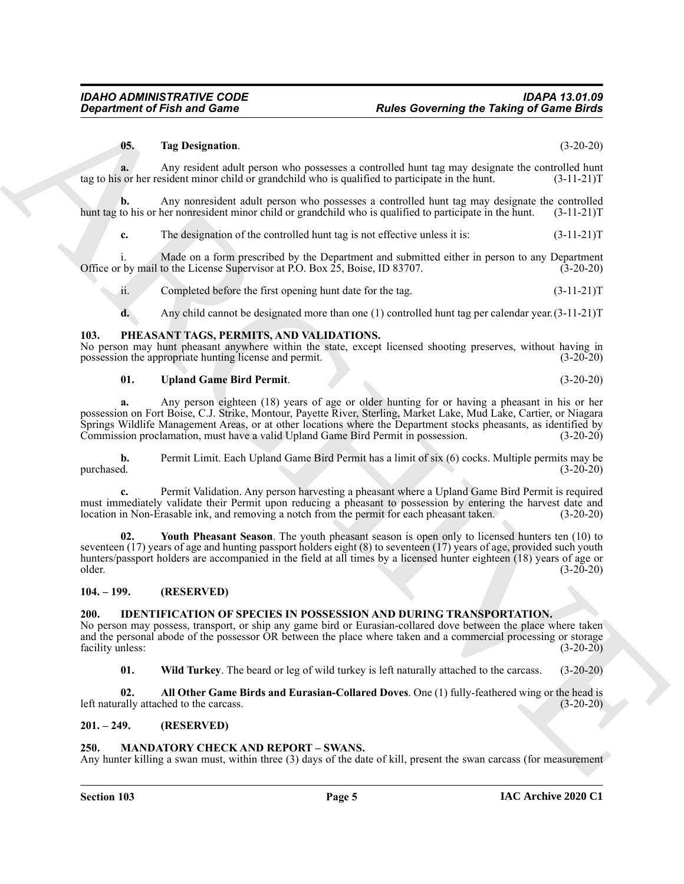#### <span id="page-4-12"></span>**05. Tag Designation**. (3-20-20)

**a.** Any resident adult person who possesses a controlled hunt tag may designate the controlled hunt or so ther resident minor child or grandchild who is qualified to participate in the hunt. (3-11-21) tag to his or her resident minor child or grandchild who is qualified to participate in the hunt.

**b.** Any nonresident adult person who possesses a controlled hunt tag may designate the controlled to his or her nonresident minor child or grandchild who is qualified to participate in the hunt. (3-11-21)T hunt tag to his or her nonresident minor child or grandchild who is qualified to participate in the hunt.

**c.** The designation of the controlled hunt tag is not effective unless it is:  $(3-11-21)T$ 

i. Made on a form prescribed by the Department and submitted either in person to any Department by mail to the License Supervisor at P.O. Box 25, Boise, ID 83707. (3-20-20) Office or by mail to the License Supervisor at P.O. Box  $25$ , Boise, ID 83707.

ii. Completed before the first opening hunt date for the tag. (3-11-21)T

<span id="page-4-9"></span>**d.** Any child cannot be designated more than one (1) controlled hunt tag per calendar year.(3-11-21)T

#### <span id="page-4-0"></span>**103. PHEASANT TAGS, PERMITS, AND VALIDATIONS.**

No person may hunt pheasant anywhere within the state, except licensed shooting preserves, without having in possession the appropriate hunting license and permit. (3-20-20)

#### <span id="page-4-10"></span>**01. Upland Game Bird Permit**. (3-20-20)

**a.** Any person eighteen (18) years of age or older hunting for or having a pheasant in his or her possession on Fort Boise, C.J. Strike, Montour, Payette River, Sterling, Market Lake, Mud Lake, Cartier, or Niagara Springs Wildlife Management Areas, or at other locations where the Department stocks pheasants, as identified by Commission proclamation, must have a valid Upland Game Bird Permit in possession. (3-20-20) Commission proclamation, must have a valid Upland Game Bird Permit in possession.

**b.** Permit Limit. Each Upland Game Bird Permit has a limit of six (6) cocks. Multiple permits may be purchased.  $(3-20-20)$ purchased. (3-20-20)

<span id="page-4-11"></span>**c.** Permit Validation. Any person harvesting a pheasant where a Upland Game Bird Permit is required must immediately validate their Permit upon reducing a pheasant to possession by entering the harvest date and location in Non-Erasable ink, and removing a notch from the permit for each pheasant taken. (3-20-20) location in Non-Erasable ink, and removing a notch from the permit for each pheasant taken.

**Consideration of Finite and General Constraints Constraint Constraint Constraint Constraint Constraint Constraint Constraint Constraint Constraint Constraint Constraint Constraint Constraint Constraint Constraint Constra** Youth Pheasant Season. The youth pheasant season is open only to licensed hunters ten (10) to seventeen (17) years of age and hunting passport holders eight (8) to seventeen (17) years of age, provided such youth hunters/passport holders are accompanied in the field at all times by a licensed hunter eighteen (18) years of age or older.  $\text{older.}}$  (3-20-20)

#### <span id="page-4-1"></span>**104. – 199. (RESERVED)**

#### <span id="page-4-5"></span><span id="page-4-2"></span>**200. IDENTIFICATION OF SPECIES IN POSSESSION AND DURING TRANSPORTATION.**

No person may possess, transport, or ship any game bird or Eurasian-collared dove between the place where taken and the personal abode of the possessor OR between the place where taken and a commercial processing or storage facility unless: (3-20-20)

<span id="page-4-7"></span><span id="page-4-6"></span>**01. Wild Turkey**. The beard or leg of wild turkey is left naturally attached to the carcass. (3-20-20)

**02. All Other Game Birds and Eurasian-Collared Doves**. One (1) fully-feathered wing or the head is left naturally attached to the carcass. (3-20-20)

#### <span id="page-4-3"></span>**201. – 249. (RESERVED)**

#### <span id="page-4-8"></span><span id="page-4-4"></span>**250. MANDATORY CHECK AND REPORT – SWANS.**

Any hunter killing a swan must, within three (3) days of the date of kill, present the swan carcass (for measurement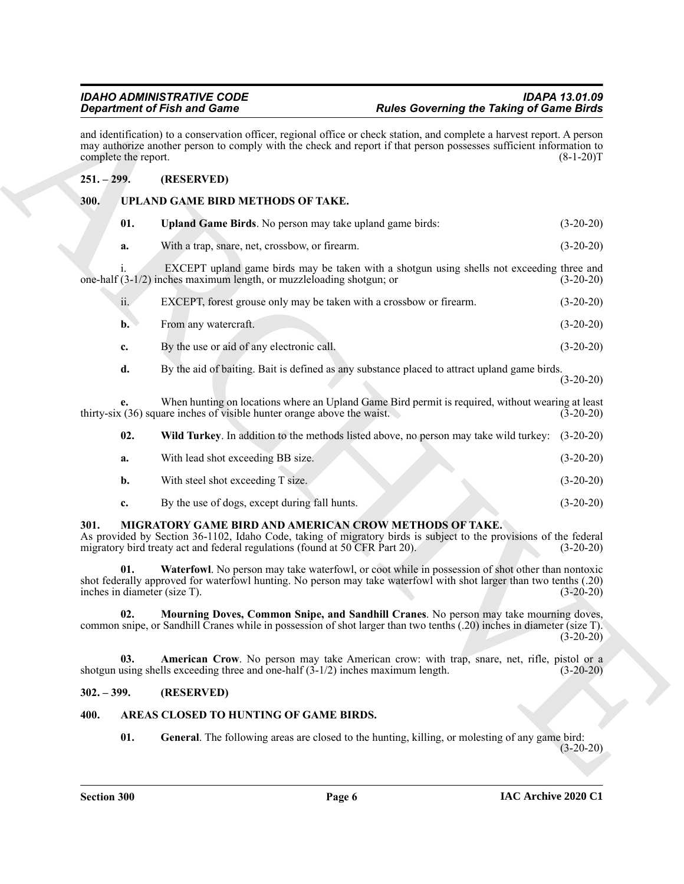### <span id="page-5-12"></span><span id="page-5-11"></span><span id="page-5-1"></span><span id="page-5-0"></span>**251. – 299. (RESERVED)**

| <b>Department of Fish and Game</b> |                                                                                                               | <b>Rules Governing the Taking of Game Birds</b>                                                                                                                                                                                                 |             |
|------------------------------------|---------------------------------------------------------------------------------------------------------------|-------------------------------------------------------------------------------------------------------------------------------------------------------------------------------------------------------------------------------------------------|-------------|
|                                    | complete the report.                                                                                          | and identification) to a conservation officer, regional office or check station, and complete a harvest report. A person<br>may authorize another person to comply with the check and report if that person possesses sufficient information to | $(8-1-20)T$ |
| $251. - 299.$                      | (RESERVED)                                                                                                    |                                                                                                                                                                                                                                                 |             |
| 300.                               | UPLAND GAME BIRD METHODS OF TAKE.                                                                             |                                                                                                                                                                                                                                                 |             |
|                                    | 01.<br>Upland Game Birds. No person may take upland game birds:                                               |                                                                                                                                                                                                                                                 | $(3-20-20)$ |
|                                    | With a trap, snare, net, crossbow, or firearm.<br>a.                                                          |                                                                                                                                                                                                                                                 | $(3-20-20)$ |
|                                    | one-half $(3-1/2)$ inches maximum length, or muzzleloading shotgun; or                                        | EXCEPT upland game birds may be taken with a shotgun using shells not exceeding three and                                                                                                                                                       | $(3-20-20)$ |
|                                    | ii.                                                                                                           | EXCEPT, forest grouse only may be taken with a crossbow or firearm.                                                                                                                                                                             | $(3-20-20)$ |
|                                    | From any watercraft.<br>$\mathbf{b}$ .                                                                        |                                                                                                                                                                                                                                                 | $(3-20-20)$ |
|                                    | By the use or aid of any electronic call.<br>c.                                                               |                                                                                                                                                                                                                                                 | $(3-20-20)$ |
|                                    | d.                                                                                                            | By the aid of baiting. Bait is defined as any substance placed to attract upland game birds.                                                                                                                                                    | $(3-20-20)$ |
|                                    | е.<br>thirty-six (36) square inches of visible hunter orange above the waist.                                 | When hunting on locations where an Upland Game Bird permit is required, without wearing at least                                                                                                                                                | $(3-20-20)$ |
|                                    | 02.                                                                                                           | Wild Turkey. In addition to the methods listed above, no person may take wild turkey:                                                                                                                                                           | $(3-20-20)$ |
|                                    | With lead shot exceeding BB size.<br>a.                                                                       |                                                                                                                                                                                                                                                 | $(3-20-20)$ |
|                                    | With steel shot exceeding T size.<br>b.                                                                       |                                                                                                                                                                                                                                                 | $(3-20-20)$ |
|                                    | By the use of dogs, except during fall hunts.<br>c.                                                           |                                                                                                                                                                                                                                                 | $(3-20-20)$ |
| 301.                               | migratory bird treaty act and federal regulations (found at 50 CFR Part 20).                                  | MIGRATORY GAME BIRD AND AMERICAN CROW METHODS OF TAKE.<br>As provided by Section 36-1102, Idaho Code, taking of migratory birds is subject to the provisions of the federal                                                                     | $(3-20-20)$ |
|                                    | 01.<br>inches in diameter (size T).                                                                           | Waterfowl. No person may take waterfowl, or coot while in possession of shot other than nontoxic<br>shot federally approved for waterfowl hunting. No person may take waterfowl with shot larger than two tenths (.20)                          | $(3-20-20)$ |
|                                    | 02.                                                                                                           | Mourning Doves, Common Snipe, and Sandhill Cranes. No person may take mourning doves,<br>common snipe, or Sandhill Cranes while in possession of shot larger than two tenths (.20) inches in diameter (size T).                                 | $(3-20-20)$ |
|                                    | 03.<br>shotgun using shells exceeding three and one-half $(3-1/2)$ inches maximum length.                     | American Crow. No person may take American crow: with trap, snare, net, rifle, pistol or a                                                                                                                                                      | $(3-20-20)$ |
| $302. - 399.$                      | (RESERVED)                                                                                                    |                                                                                                                                                                                                                                                 |             |
| 400.                               | AREAS CLOSED TO HUNTING OF GAME BIRDS.                                                                        |                                                                                                                                                                                                                                                 |             |
|                                    | 01.<br><b>General.</b> The following areas are closed to the hunting, killing, or molesting of any game bird: |                                                                                                                                                                                                                                                 |             |

<span id="page-5-13"></span>

| VZ.         | <b>WHO TUTKEY.</b> In addition to the methods isted above, no person may take who turkey. $(3-20-20)$ |             |
|-------------|-------------------------------------------------------------------------------------------------------|-------------|
| a.          | With lead shot exceeding BB size.                                                                     | $(3-20-20)$ |
| b.          | With steel shot exceeding T size.                                                                     | $(3-20-20)$ |
| $c_{\cdot}$ | By the use of dogs, except during fall hunts.                                                         | $(3-20-20)$ |

### <span id="page-5-10"></span><span id="page-5-9"></span><span id="page-5-7"></span><span id="page-5-2"></span>**301. MIGRATORY GAME BIRD AND AMERICAN CROW METHODS OF TAKE.**

#### <span id="page-5-8"></span><span id="page-5-3"></span>**302. – 399. (RESERVED)**

### <span id="page-5-6"></span><span id="page-5-5"></span><span id="page-5-4"></span>**400. AREAS CLOSED TO HUNTING OF GAME BIRDS.**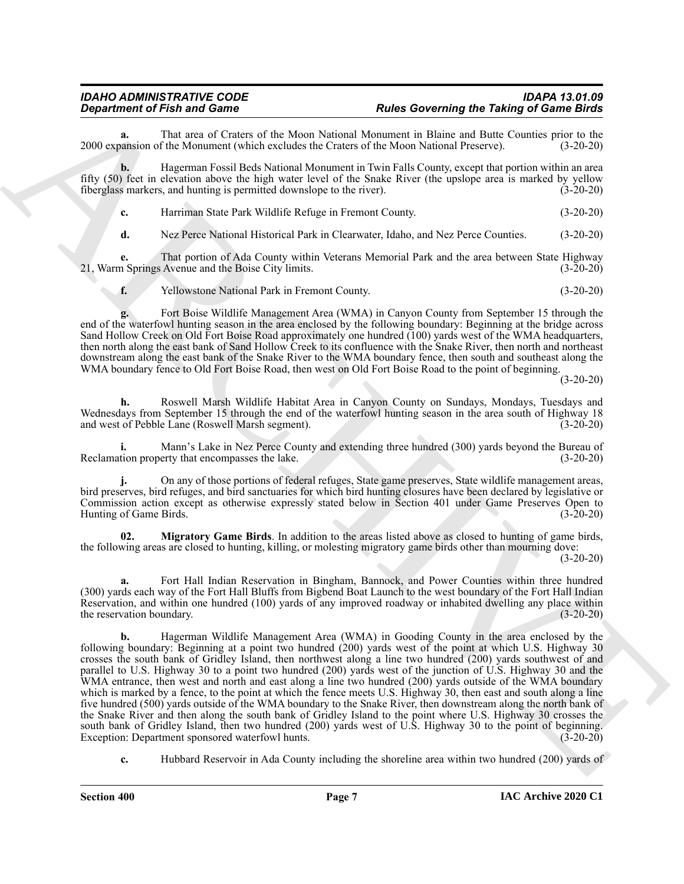# *IDAHO ADMINISTRATIVE CODE IDAPA 13.01.09 Department of Fish and Game Rules Governing the Taking of Game Birds*

That area of Craters of the Moon National Monument in Blaine and Butte Counties prior to the f the Monument (which excludes the Craters of the Moon National Preserve). (3-20-20) 2000 expansion of the Monument (which excludes the Craters of the Moon National Preserve).

**b.** Hagerman Fossil Beds National Monument in Twin Falls County, except that portion within an area fifty (50) feet in elevation above the high water level of the Snake River (the upslope area is marked by yellow fiberglass markers, and hunting is permitted downslope to the river). (3-20-20)

**c.** Harriman State Park Wildlife Refuge in Fremont County. (3-20-20)

**d.** Nez Perce National Historical Park in Clearwater, Idaho, and Nez Perce Counties. (3-20-20)

**e.** That portion of Ada County within Veterans Memorial Park and the area between State Highway a Springs Avenue and the Boise City limits. (3-20-20) 21, Warm Springs Avenue and the Boise City limits.

**f.** Yellowstone National Park in Fremont County. (3-20-20)

**g.** Fort Boise Wildlife Management Area (WMA) in Canyon County from September 15 through the end of the waterfowl hunting season in the area enclosed by the following boundary: Beginning at the bridge across Sand Hollow Creek on Old Fort Boise Road approximately one hundred (100) yards west of the WMA headquarters, then north along the east bank of Sand Hollow Creek to its confluence with the Snake River, then north and northeast downstream along the east bank of the Snake River to the WMA boundary fence, then south and southeast along the WMA boundary fence to Old Fort Boise Road, then west on Old Fort Boise Road to the point of beginning.

(3-20-20)

**h.** Roswell Marsh Wildlife Habitat Area in Canyon County on Sundays, Mondays, Tuesdays and Wednesdays from September 15 through the end of the waterfowl hunting season in the area south of Highway 18 and west of Pebble Lane (Roswell Marsh segment). (3-20-20)

**i.** Mann's Lake in Nez Perce County and extending three hundred (300) yards beyond the Bureau of Reclamation property that encompasses the lake. (3-20-20)

**j.** On any of those portions of federal refuges, State game preserves, State wildlife management areas, bird preserves, bird refuges, and bird sanctuaries for which bird hunting closures have been declared by legislative or Commission action except as otherwise expressly stated below in Section 401 under Game Preserves Open to Hunting of Game Birds.

<span id="page-6-0"></span>**02. Migratory Game Birds**. In addition to the areas listed above as closed to hunting of game birds, the following areas are closed to hunting, killing, or molesting migratory game birds other than mourning dove:

(3-20-20)

**a.** Fort Hall Indian Reservation in Bingham, Bannock, and Power Counties within three hundred (300) yards each way of the Fort Hall Bluffs from Bigbend Boat Launch to the west boundary of the Fort Hall Indian Reservation, and within one hundred (100) yards of any improved roadway or inhabited dwelling any place within the reservation boundary. (3-20-20)

**Considered Find and Conservative Research Manuel Absorption and the Georgian and Conservative Conservative Conservative Conservative Conservative Conservative Conservative Conservative Conservative Conservative Conservat b.** Hagerman Wildlife Management Area (WMA) in Gooding County in the area enclosed by the following boundary: Beginning at a point two hundred (200) yards west of the point at which U.S. Highway 30 crosses the south bank of Gridley Island, then northwest along a line two hundred (200) yards southwest of and parallel to U.S. Highway 30 to a point two hundred (200) yards west of the junction of U.S. Highway 30 and the WMA entrance, then west and north and east along a line two hundred (200) yards outside of the WMA boundary which is marked by a fence, to the point at which the fence meets U.S. Highway 30, then east and south along a line five hundred (500) yards outside of the WMA boundary to the Snake River, then downstream along the north bank of the Snake River and then along the south bank of Gridley Island to the point where U.S. Highway 30 crosses the south bank of Gridley Island, then two hundred (200) yards west of U.S. Highway 30 to the point of beginning.<br>Exception: Department sponsored waterfowl hunts. (3-20-20) Exception: Department sponsored waterfowl hunts.

**c.** Hubbard Reservoir in Ada County including the shoreline area within two hundred (200) yards of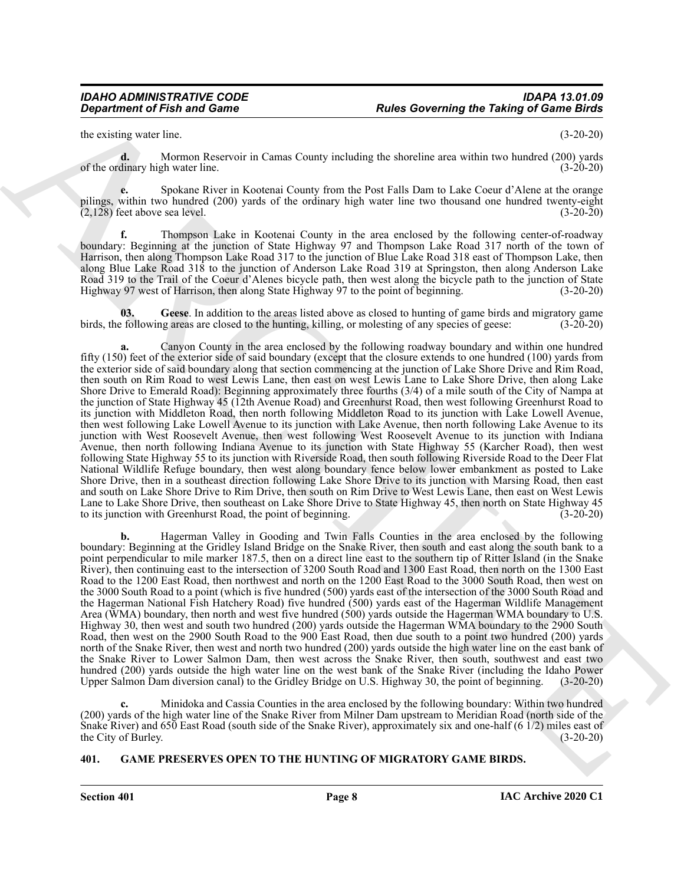the existing water line. (3-20-20)

**d.** Mormon Reservoir in Camas County including the shoreline area within two hundred (200) yards of the ordinary high water line. (3-20-20)

**e.** Spokane River in Kootenai County from the Post Falls Dam to Lake Coeur d'Alene at the orange pilings, within two hundred (200) yards of the ordinary high water line two thousand one hundred twenty-eight  $(2,128)$  feet above sea level.  $(3-20-20)$ 

**f.** Thompson Lake in Kootenai County in the area enclosed by the following center-of-roadway boundary: Beginning at the junction of State Highway 97 and Thompson Lake Road 317 north of the town of Harrison, then along Thompson Lake Road 317 to the junction of Blue Lake Road 318 east of Thompson Lake, then along Blue Lake Road 318 to the junction of Anderson Lake Road 319 at Springston, then along Anderson Lake Road 319 to the Trail of the Coeur d'Alenes bicycle path, then west along the bicycle path to the junction of State Highway 97 west of Harrison, then along State Highway 97 to the point of beginning. (3-20-20)

<span id="page-7-1"></span>**03. Geese**. In addition to the areas listed above as closed to hunting of game birds and migratory game birds, the following areas are closed to the hunting, killing, or molesting of any species of geese: (3-20-20)

**Constrained of Finit and Game<br>
In the state Governing the Taking of Game Energy<br>
the costs of the state of the state of the state of the state of the state of the state of the state of the state of the state of the state a.** Canyon County in the area enclosed by the following roadway boundary and within one hundred fifty (150) feet of the exterior side of said boundary (except that the closure extends to one hundred (100) yards from the exterior side of said boundary along that section commencing at the junction of Lake Shore Drive and Rim Road, then south on Rim Road to west Lewis Lane, then east on west Lewis Lane to Lake Shore Drive, then along Lake Shore Drive to Emerald Road): Beginning approximately three fourths (3/4) of a mile south of the City of Nampa at the junction of State Highway 45 (12th Avenue Road) and Greenhurst Road, then west following Greenhurst Road to its junction with Middleton Road, then north following Middleton Road to its junction with Lake Lowell Avenue, then west following Lake Lowell Avenue to its junction with Lake Avenue, then north following Lake Avenue to its junction with West Roosevelt Avenue, then west following West Roosevelt Avenue to its junction with Indiana Avenue, then north following Indiana Avenue to its junction with State Highway 55 (Karcher Road), then west following State Highway 55 to its junction with Riverside Road, then south following Riverside Road to the Deer Flat National Wildlife Refuge boundary, then west along boundary fence below lower embankment as posted to Lake Shore Drive, then in a southeast direction following Lake Shore Drive to its junction with Marsing Road, then east and south on Lake Shore Drive to Rim Drive, then south on Rim Drive to West Lewis Lane, then east on West Lewis Lane to Lake Shore Drive, then southeast on Lake Shore Drive to State Highway 45, then north on State Highway 45 to its junction with Greenhurst Road, the point of beginning.

**b.** Hagerman Valley in Gooding and Twin Falls Counties in the area enclosed by the following boundary: Beginning at the Gridley Island Bridge on the Snake River, then south and east along the south bank to a point perpendicular to mile marker 187.5, then on a direct line east to the southern tip of Ritter Island (in the Snake River), then continuing east to the intersection of 3200 South Road and 1300 East Road, then north on the 1300 East Road to the 1200 East Road, then northwest and north on the 1200 East Road to the 3000 South Road, then west on the 3000 South Road to a point (which is five hundred (500) yards east of the intersection of the 3000 South Road and the Hagerman National Fish Hatchery Road) five hundred (500) yards east of the Hagerman Wildlife Management Area (WMA) boundary, then north and west five hundred (500) yards outside the Hagerman WMA boundary to U.S. Highway 30, then west and south two hundred (200) yards outside the Hagerman WMA boundary to the 2900 South Road, then west on the 2900 South Road to the 900 East Road, then due south to a point two hundred (200) yards north of the Snake River, then west and north two hundred (200) yards outside the high water line on the east bank of the Snake River to Lower Salmon Dam, then west across the Snake River, then south, southwest and east two hundred (200) yards outside the high water line on the west bank of the Snake River (including the Idaho Power<br>Upper Salmon Dam diversion canal) to the Gridley Bridge on U.S. Highway 30, the point of beginning. (3-20-20) Upper Salmon Dam diversion canal) to the Gridley Bridge on U.S. Highway 30, the point of beginning.

**c.** Minidoka and Cassia Counties in the area enclosed by the following boundary: Within two hundred (200) yards of the high water line of the Snake River from Milner Dam upstream to Meridian Road (north side of the Snake River) and 650 East Road (south side of the Snake River), approximately six and one-half (6 1/2) miles east of the City of Burley. (3-20-20)

#### <span id="page-7-2"></span><span id="page-7-0"></span>**401. GAME PRESERVES OPEN TO THE HUNTING OF MIGRATORY GAME BIRDS.**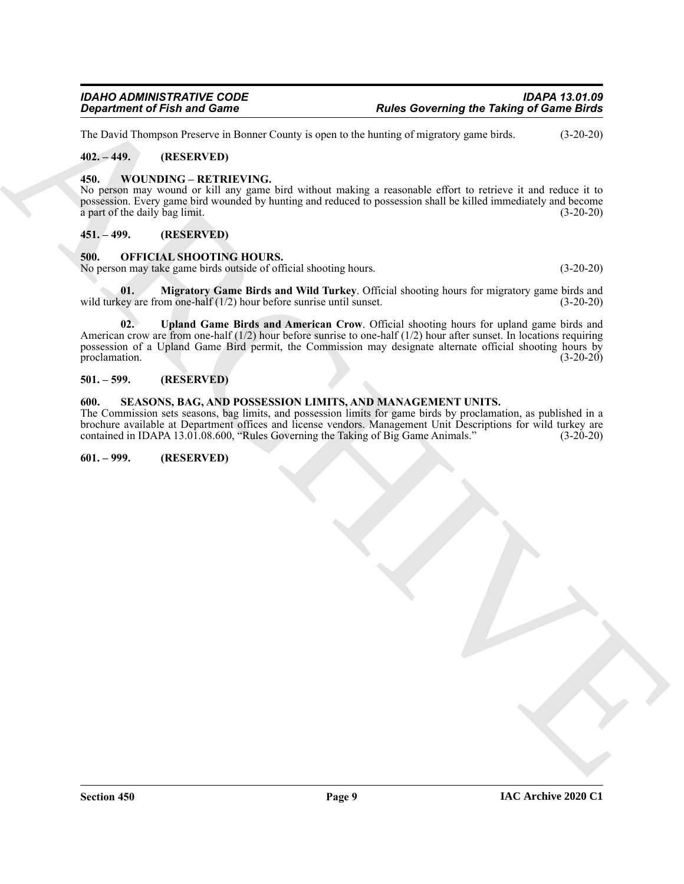The David Thompson Preserve in Bonner County is open to the hunting of migratory game birds. (3-20-20)

#### <span id="page-8-0"></span>**402. – 449. (RESERVED)**

#### <span id="page-8-11"></span><span id="page-8-1"></span>**450. WOUNDING – RETRIEVING.**

No person may wound or kill any game bird without making a reasonable effort to retrieve it and reduce it to possession. Every game bird wounded by hunting and reduced to possession shall be killed immediately and become a part of the daily bag limit. (3-20-20)

#### <span id="page-8-2"></span>**451. – 499. (RESERVED)**

#### <span id="page-8-7"></span><span id="page-8-3"></span>**500. OFFICIAL SHOOTING HOURS.**

No person may take game birds outside of official shooting hours. (3-20-20)

<span id="page-8-9"></span><span id="page-8-8"></span>**01. Migratory Game Birds and Wild Turkey**. Official shooting hours for migratory game birds and wild turkey are from one-half  $(1/2)$  hour before sunrise until sunset.  $(3-20-20)$ 

**Considered of Fish and Comes<br>
LED ARCHIVES through the conservation for the leading of the second particles of the second and the conservation of the second in the second of the second of the second of the second of the 02. Upland Game Birds and American Crow**. Official shooting hours for upland game birds and American crow are from one-half  $(1/2)$  hour before sunrise to one-half  $(1/2)$  hour after sunset. In locations requiring possession of a Upland Game Bird permit, the Commission may designate alternate official shooting hours by proclamation. (3-20-20)

#### <span id="page-8-4"></span>**501. – 599. (RESERVED)**

#### <span id="page-8-10"></span><span id="page-8-5"></span>**600. SEASONS, BAG, AND POSSESSION LIMITS, AND MANAGEMENT UNITS.**

The Commission sets seasons, bag limits, and possession limits for game birds by proclamation, as published in a brochure available at Department offices and license vendors. Management Unit Descriptions for wild turkey are contained in IDAPA 13.01.08.600, "Rules Governing the Taking of Big Game Animals." (3-20-20) contained in IDAPA 13.01.08.600, "Rules Governing the Taking of Big Game Animals."

#### <span id="page-8-6"></span>**601. – 999. (RESERVED)**